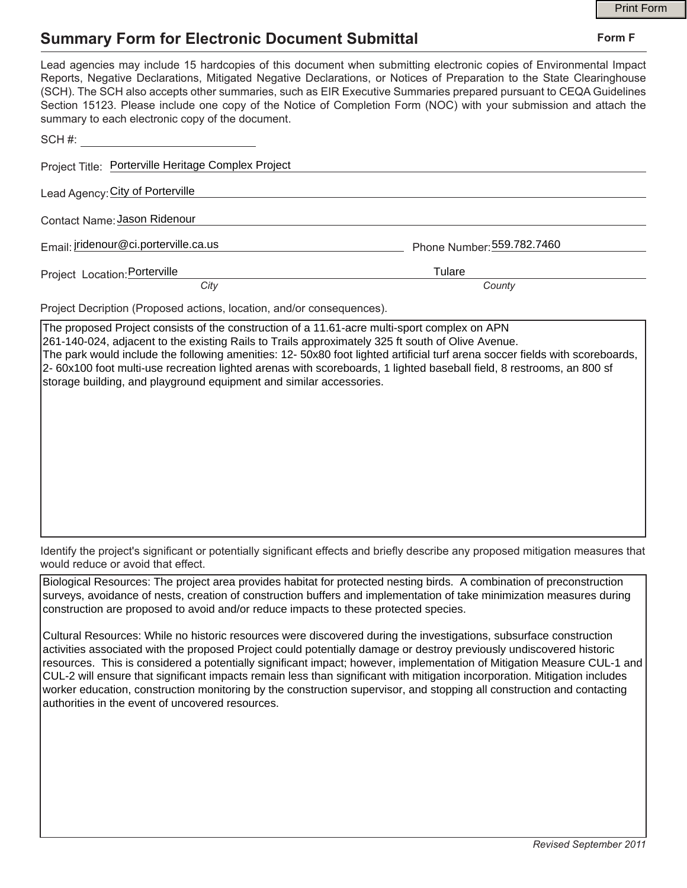## **Summary Form for Electronic Document Submittal**

|                                                                                                                                                                                                                                                                                                                                                                                                                                                                                                                                           | <b>Print Form</b>          |
|-------------------------------------------------------------------------------------------------------------------------------------------------------------------------------------------------------------------------------------------------------------------------------------------------------------------------------------------------------------------------------------------------------------------------------------------------------------------------------------------------------------------------------------------|----------------------------|
| <b>Summary Form for Electronic Document Submittal</b>                                                                                                                                                                                                                                                                                                                                                                                                                                                                                     | Form F                     |
| Lead agencies may include 15 hardcopies of this document when submitting electronic copies of Environmental Impact<br>Reports, Negative Declarations, Mitigated Negative Declarations, or Notices of Preparation to the State Clearinghouse<br>(SCH). The SCH also accepts other summaries, such as EIR Executive Summaries prepared pursuant to CEQA Guidelines<br>Section 15123. Please include one copy of the Notice of Completion Form (NOC) with your submission and attach the<br>summary to each electronic copy of the document. |                            |
| SCH#:                                                                                                                                                                                                                                                                                                                                                                                                                                                                                                                                     |                            |
| Project Title: Porterville Heritage Complex Project                                                                                                                                                                                                                                                                                                                                                                                                                                                                                       |                            |
| Lead Agency: City of Porterville                                                                                                                                                                                                                                                                                                                                                                                                                                                                                                          |                            |
| Contact Name: Jason Ridenour                                                                                                                                                                                                                                                                                                                                                                                                                                                                                                              |                            |
| Email: <i>jridenour@ci.porterville.ca.us</i>                                                                                                                                                                                                                                                                                                                                                                                                                                                                                              | Phone Number: 559.782.7460 |
| Project Location: Porterville                                                                                                                                                                                                                                                                                                                                                                                                                                                                                                             | Tulare                     |
| City                                                                                                                                                                                                                                                                                                                                                                                                                                                                                                                                      | County                     |
| Project Decription (Proposed actions, location, and/or consequences).                                                                                                                                                                                                                                                                                                                                                                                                                                                                     |                            |

The proposed Project consists of the construction of a 11.61-acre multi-sport complex on APN 261-140-024, adjacent to the existing Rails to Trails approximately 325 ft south of Olive Avenue. The park would include the following amenities: 12- 50x80 foot lighted artificial turf arena soccer fields with scoreboards, 2- 60x100 foot multi-use recreation lighted arenas with scoreboards, 1 lighted baseball field, 8 restrooms, an 800 sf storage building, and playground equipment and similar accessories.

Identify the project's significant or potentially significant effects and briefly describe any proposed mitigation measures that would reduce or avoid that effect.

Biological Resources: The project area provides habitat for protected nesting birds. A combination of preconstruction surveys, avoidance of nests, creation of construction buffers and implementation of take minimization measures during construction are proposed to avoid and/or reduce impacts to these protected species.

Cultural Resources: While no historic resources were discovered during the investigations, subsurface construction activities associated with the proposed Project could potentially damage or destroy previously undiscovered historic resources. This is considered a potentially significant impact; however, implementation of Mitigation Measure CUL-1 and CUL-2 will ensure that significant impacts remain less than significant with mitigation incorporation. Mitigation includes worker education, construction monitoring by the construction supervisor, and stopping all construction and contacting authorities in the event of uncovered resources.